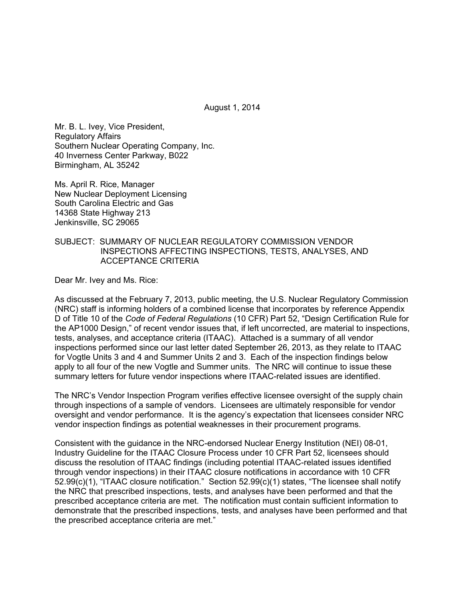August 1, 2014

Mr. B. L. Ivey, Vice President, Regulatory Affairs Southern Nuclear Operating Company, Inc. 40 Inverness Center Parkway, B022 Birmingham, AL 35242

Ms. April R. Rice, Manager New Nuclear Deployment Licensing South Carolina Electric and Gas 14368 State Highway 213 Jenkinsville, SC 29065

### SUBJECT: SUMMARY OF NUCLEAR REGULATORY COMMISSION VENDOR INSPECTIONS AFFECTING INSPECTIONS, TESTS, ANALYSES, AND ACCEPTANCE CRITERIA

Dear Mr. Ivey and Ms. Rice:

As discussed at the February 7, 2013, public meeting, the U.S. Nuclear Regulatory Commission (NRC) staff is informing holders of a combined license that incorporates by reference Appendix D of Title 10 of the *Code of Federal Regulations* (10 CFR) Part 52, "Design Certification Rule for the AP1000 Design," of recent vendor issues that, if left uncorrected, are material to inspections, tests, analyses, and acceptance criteria (ITAAC). Attached is a summary of all vendor inspections performed since our last letter dated September 26, 2013, as they relate to ITAAC for Vogtle Units 3 and 4 and Summer Units 2 and 3. Each of the inspection findings below apply to all four of the new Vogtle and Summer units. The NRC will continue to issue these summary letters for future vendor inspections where ITAAC-related issues are identified.

The NRC's Vendor Inspection Program verifies effective licensee oversight of the supply chain through inspections of a sample of vendors. Licensees are ultimately responsible for vendor oversight and vendor performance. It is the agency's expectation that licensees consider NRC vendor inspection findings as potential weaknesses in their procurement programs.

Consistent with the guidance in the NRC-endorsed Nuclear Energy Institution (NEI) 08-01, Industry Guideline for the ITAAC Closure Process under 10 CFR Part 52, licensees should discuss the resolution of ITAAC findings (including potential ITAAC-related issues identified through vendor inspections) in their ITAAC closure notifications in accordance with 10 CFR 52.99(c)(1), "ITAAC closure notification." Section 52.99(c)(1) states, "The licensee shall notify the NRC that prescribed inspections, tests, and analyses have been performed and that the prescribed acceptance criteria are met. The notification must contain sufficient information to demonstrate that the prescribed inspections, tests, and analyses have been performed and that the prescribed acceptance criteria are met."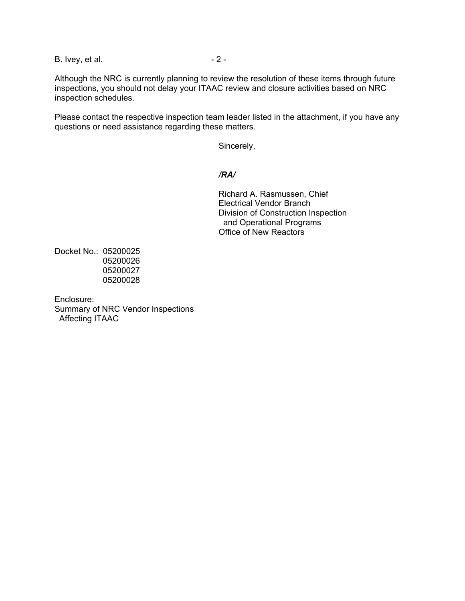B. Ivey, et al.  $-2 -$ 

Although the NRC is currently planning to review the resolution of these items through future inspections, you should not delay your ITAAC review and closure activities based on NRC inspection schedules.

Please contact the respective inspection team leader listed in the attachment, if you have any questions or need assistance regarding these matters.

Sincerely,

### */RA/*

Richard A. Rasmussen, Chief Electrical Vendor Branch Division of Construction Inspection and Operational Programs Office of New Reactors

Docket No.: 05200025 05200026 05200027 05200028

Enclosure: Summary of NRC Vendor Inspections Affecting ITAAC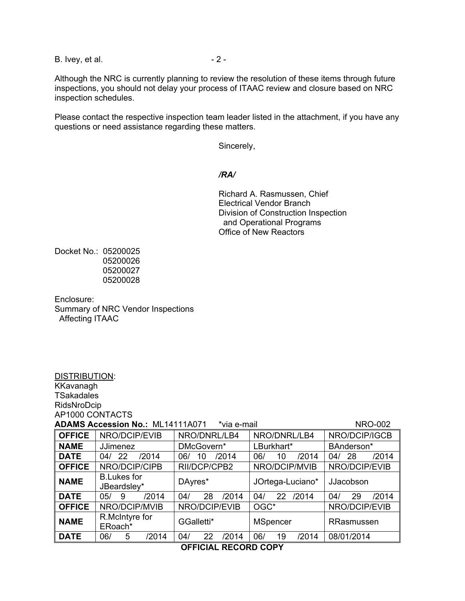B. Ivey, et al.  $-2 -$ 

Although the NRC is currently planning to review the resolution of these items through future inspections, you should not delay your process of ITAAC review and closure based on NRC inspection schedules.

Please contact the respective inspection team leader listed in the attachment, if you have any questions or need assistance regarding these matters.

Sincerely,

#### */RA/*

Richard A. Rasmussen, Chief Electrical Vendor Branch Division of Construction Inspection and Operational Programs Office of New Reactors

Docket No.: 05200025 05200026 05200027 05200028

DISTRIBUTION:

Enclosure: Summary of NRC Vendor Inspections Affecting ITAAC

| KKavanagh                                                                |                                   |               |               |           |                  |              |            |               |               |            |       |
|--------------------------------------------------------------------------|-----------------------------------|---------------|---------------|-----------|------------------|--------------|------------|---------------|---------------|------------|-------|
| <b>TSakadales</b>                                                        |                                   |               |               |           |                  |              |            |               |               |            |       |
|                                                                          | RidsNroDcip                       |               |               |           |                  |              |            |               |               |            |       |
| AP1000 CONTACTS                                                          |                                   |               |               |           |                  |              |            |               |               |            |       |
| <b>ADAMS Accession No.: ML14111A071</b><br><b>NRO-002</b><br>*via e-mail |                                   |               |               |           |                  |              |            |               |               |            |       |
| <b>OFFICE</b>                                                            |                                   | NRO/DCIP/EVIB | NRO/DNRL/LB4  |           |                  | NRO/DNRL/LB4 |            | NRO/DCIP/IGCB |               |            |       |
| <b>NAME</b>                                                              | <b>JJimenez</b>                   |               | DMcGovern*    |           | LBurkhart*       |              | BAnderson* |               |               |            |       |
| <b>DATE</b>                                                              | 22<br>04/                         | /2014         | 06/           | 10        | /2014            | 06/          | 10         | /2014         | 04/           | 28         | /2014 |
| <b>OFFICE</b>                                                            | NRO/DCIP/CIPB                     |               | RII/DCP/CPB2  |           | NRO/DCIP/MVIB    |              |            |               | NRO/DCIP/EVIB |            |       |
| <b>NAME</b>                                                              | <b>B.Lukes for</b><br>JBeardsley* |               | DAyres*       |           | JOrtega-Luciano* |              |            | JJacobson     |               |            |       |
| <b>DATE</b>                                                              | 9<br>05/                          | /2014         | 04/           | 28        | /2014            | 04/          | 22         | /2014         | 04/           | 29         | /2014 |
| <b>OFFICE</b>                                                            | NRO/DCIP/MVIB                     |               | NRO/DCIP/EVIB |           | OGC*             |              |            |               | NRO/DCIP/EVIB |            |       |
| <b>NAME</b>                                                              | R.McIntyre for<br>ERoach*         |               | GGalletti*    |           | <b>MSpencer</b>  |              |            | RRasmussen    |               |            |       |
| <b>DATE</b>                                                              | 06/                               | 5<br>/2014    | 04/           | 22        | /2014            | 06/          | 19         | /2014         |               | 08/01/2014 |       |
|                                                                          |                                   |               |               | AFFIAI LI | REAARR AARV      |              |            |               |               |            |       |

### **OFFICIAL RECORD COPY**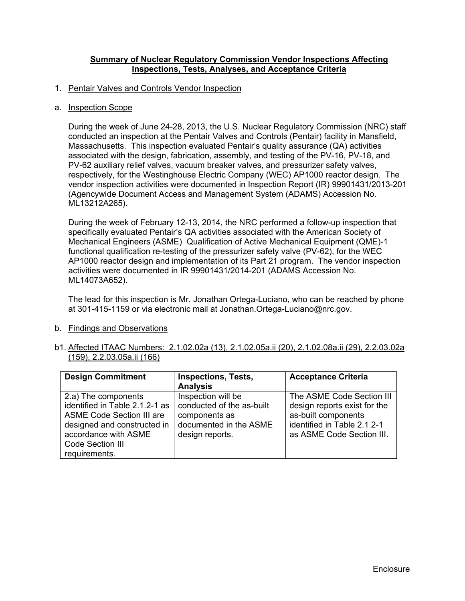### **Summary of Nuclear Regulatory Commission Vendor Inspections Affecting Inspections, Tests, Analyses, and Acceptance Criteria**

### 1. Pentair Valves and Controls Vendor Inspection

#### a. Inspection Scope

During the week of June 24-28, 2013, the U.S. Nuclear Regulatory Commission (NRC) staff conducted an inspection at the Pentair Valves and Controls (Pentair) facility in Mansfield, Massachusetts. This inspection evaluated Pentair's quality assurance (QA) activities associated with the design, fabrication, assembly, and testing of the PV-16, PV-18, and PV-62 auxiliary relief valves, vacuum breaker valves, and pressurizer safety valves, respectively, for the Westinghouse Electric Company (WEC) AP1000 reactor design. The vendor inspection activities were documented in Inspection Report (IR) 99901431/2013-201 (Agencywide Document Access and Management System (ADAMS) Accession No. ML13212A265).

During the week of February 12-13, 2014, the NRC performed a follow-up inspection that specifically evaluated Pentair's QA activities associated with the American Society of Mechanical Engineers (ASME) Qualification of Active Mechanical Equipment (QME)-1 functional qualification re-testing of the pressurizer safety valve (PV-62), for the WEC AP1000 reactor design and implementation of its Part 21 program. The vendor inspection activities were documented in IR 99901431/2014-201 (ADAMS Accession No. ML14073A652).

The lead for this inspection is Mr. Jonathan Ortega-Luciano, who can be reached by phone at 301-415-1159 or via electronic mail at Jonathan.Ortega-Luciano@nrc.gov.

- b. Findings and Observations
- b1. Affected ITAAC Numbers: 2.1.02.02a (13), 2.1.02.05a.ii (20), 2.1.02.08a.ii (29), 2.2.03.02a (159), 2.2.03.05a.ii (166)

| <b>Design Commitment</b>         | <b>Inspections, Tests,</b> | <b>Acceptance Criteria</b>   |
|----------------------------------|----------------------------|------------------------------|
|                                  | <b>Analysis</b>            |                              |
| 2.a) The components              | Inspection will be         | The ASME Code Section III    |
| identified in Table 2.1.2-1 as   | conducted of the as-built  | design reports exist for the |
| <b>ASME Code Section III are</b> | components as              | as-built components          |
| designed and constructed in      | documented in the ASME     | identified in Table 2.1.2-1  |
| accordance with ASME             | design reports.            | as ASME Code Section III.    |
| Code Section III                 |                            |                              |
| requirements.                    |                            |                              |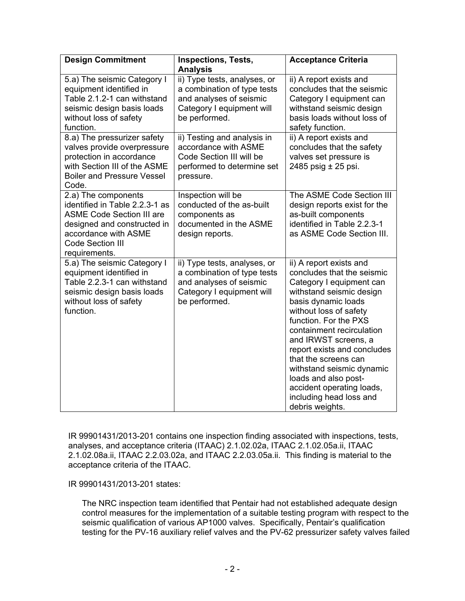| <b>Design Commitment</b>                                                                                                                                                                     | <b>Inspections, Tests,</b><br><b>Analysis</b>                                                                                        | <b>Acceptance Criteria</b>                                                                                                                                                                                                                                                                                                                                                                                                          |
|----------------------------------------------------------------------------------------------------------------------------------------------------------------------------------------------|--------------------------------------------------------------------------------------------------------------------------------------|-------------------------------------------------------------------------------------------------------------------------------------------------------------------------------------------------------------------------------------------------------------------------------------------------------------------------------------------------------------------------------------------------------------------------------------|
| 5.a) The seismic Category I<br>equipment identified in<br>Table 2.1.2-1 can withstand<br>seismic design basis loads<br>without loss of safety<br>function.                                   | ii) Type tests, analyses, or<br>a combination of type tests<br>and analyses of seismic<br>Category I equipment will<br>be performed. | ii) A report exists and<br>concludes that the seismic<br>Category I equipment can<br>withstand seismic design<br>basis loads without loss of<br>safety function.                                                                                                                                                                                                                                                                    |
| 8.a) The pressurizer safety<br>valves provide overpressure<br>protection in accordance<br>with Section III of the ASME<br><b>Boiler and Pressure Vessel</b><br>Code.                         | ii) Testing and analysis in<br>accordance with ASME<br>Code Section III will be<br>performed to determine set<br>pressure.           | ii) A report exists and<br>concludes that the safety<br>valves set pressure is<br>2485 psig ± 25 psi.                                                                                                                                                                                                                                                                                                                               |
| 2.a) The components<br>identified in Table 2.2.3-1 as<br><b>ASME Code Section III are</b><br>designed and constructed in<br>accordance with ASME<br><b>Code Section III</b><br>requirements. | Inspection will be<br>conducted of the as-built<br>components as<br>documented in the ASME<br>design reports.                        | The ASME Code Section III<br>design reports exist for the<br>as-built components<br>identified in Table 2.2.3-1<br>as ASME Code Section III.                                                                                                                                                                                                                                                                                        |
| 5.a) The seismic Category I<br>equipment identified in<br>Table 2.2.3-1 can withstand<br>seismic design basis loads<br>without loss of safety<br>function.                                   | ii) Type tests, analyses, or<br>a combination of type tests<br>and analyses of seismic<br>Category I equipment will<br>be performed. | ii) A report exists and<br>concludes that the seismic<br>Category I equipment can<br>withstand seismic design<br>basis dynamic loads<br>without loss of safety<br>function. For the PXS<br>containment recirculation<br>and IRWST screens, a<br>report exists and concludes<br>that the screens can<br>withstand seismic dynamic<br>loads and also post-<br>accident operating loads,<br>including head loss and<br>debris weights. |

IR 99901431/2013-201 contains one inspection finding associated with inspections, tests, analyses, and acceptance criteria (ITAAC) 2.1.02.02a, ITAAC 2.1.02.05a.ii, ITAAC 2.1.02.08a.ii, ITAAC 2.2.03.02a, and ITAAC 2.2.03.05a.ii. This finding is material to the acceptance criteria of the ITAAC.

IR 99901431/2013-201 states:

The NRC inspection team identified that Pentair had not established adequate design control measures for the implementation of a suitable testing program with respect to the seismic qualification of various AP1000 valves. Specifically, Pentair's qualification testing for the PV-16 auxiliary relief valves and the PV-62 pressurizer safety valves failed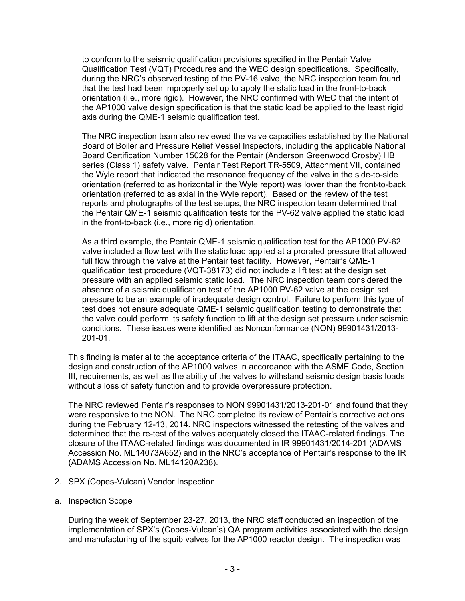to conform to the seismic qualification provisions specified in the Pentair Valve Qualification Test (VQT) Procedures and the WEC design specifications. Specifically, during the NRC's observed testing of the PV-16 valve, the NRC inspection team found that the test had been improperly set up to apply the static load in the front-to-back orientation (i.e., more rigid). However, the NRC confirmed with WEC that the intent of the AP1000 valve design specification is that the static load be applied to the least rigid axis during the QME-1 seismic qualification test.

The NRC inspection team also reviewed the valve capacities established by the National Board of Boiler and Pressure Relief Vessel Inspectors, including the applicable National Board Certification Number 15028 for the Pentair (Anderson Greenwood Crosby) HB series (Class 1) safety valve. Pentair Test Report TR-5509, Attachment VII, contained the Wyle report that indicated the resonance frequency of the valve in the side-to-side orientation (referred to as horizontal in the Wyle report) was lower than the front-to-back orientation (referred to as axial in the Wyle report). Based on the review of the test reports and photographs of the test setups, the NRC inspection team determined that the Pentair QME-1 seismic qualification tests for the PV-62 valve applied the static load in the front-to-back (i.e., more rigid) orientation.

As a third example, the Pentair QME-1 seismic qualification test for the AP1000 PV-62 valve included a flow test with the static load applied at a prorated pressure that allowed full flow through the valve at the Pentair test facility. However, Pentair's QME-1 qualification test procedure (VQT-38173) did not include a lift test at the design set pressure with an applied seismic static load. The NRC inspection team considered the absence of a seismic qualification test of the AP1000 PV-62 valve at the design set pressure to be an example of inadequate design control. Failure to perform this type of test does not ensure adequate QME-1 seismic qualification testing to demonstrate that the valve could perform its safety function to lift at the design set pressure under seismic conditions. These issues were identified as Nonconformance (NON) 99901431/2013- 201-01.

This finding is material to the acceptance criteria of the ITAAC, specifically pertaining to the design and construction of the AP1000 valves in accordance with the ASME Code, Section III, requirements, as well as the ability of the valves to withstand seismic design basis loads without a loss of safety function and to provide overpressure protection.

The NRC reviewed Pentair's responses to NON 99901431/2013-201-01 and found that they were responsive to the NON. The NRC completed its review of Pentair's corrective actions during the February 12-13, 2014. NRC inspectors witnessed the retesting of the valves and determined that the re-test of the valves adequately closed the ITAAC-related findings. The closure of the ITAAC-related findings was documented in IR 99901431/2014-201 (ADAMS Accession No. ML14073A652) and in the NRC's acceptance of Pentair's response to the IR (ADAMS Accession No. ML14120A238).

# 2. SPX (Copes-Vulcan) Vendor Inspection

a. Inspection Scope

During the week of September 23-27, 2013, the NRC staff conducted an inspection of the implementation of SPX's (Copes-Vulcan's) QA program activities associated with the design and manufacturing of the squib valves for the AP1000 reactor design. The inspection was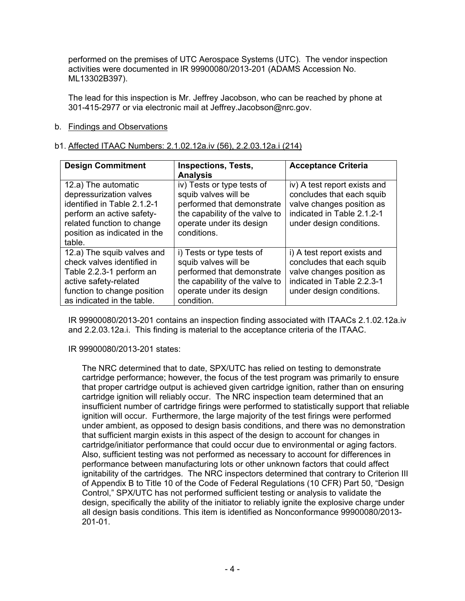performed on the premises of UTC Aerospace Systems (UTC). The vendor inspection activities were documented in IR 99900080/2013-201 (ADAMS Accession No. ML13302B397).

The lead for this inspection is Mr. Jeffrey Jacobson, who can be reached by phone at 301-415-2977 or via electronic mail at Jeffrey.Jacobson@nrc.gov.

## b. Findings and Observations

## b1. Affected ITAAC Numbers: 2.1.02.12a.iv (56), 2.2.03.12a.i (214)

| <b>Design Commitment</b>                                                                                                                                                           | <b>Inspections, Tests,</b><br><b>Analysis</b>                                                                                                                 | <b>Acceptance Criteria</b>                                                                                                                       |
|------------------------------------------------------------------------------------------------------------------------------------------------------------------------------------|---------------------------------------------------------------------------------------------------------------------------------------------------------------|--------------------------------------------------------------------------------------------------------------------------------------------------|
| 12.a) The automatic<br>depressurization valves<br>identified in Table 2.1.2-1<br>perform an active safety-<br>related function to change<br>position as indicated in the<br>table. | iv) Tests or type tests of<br>squib valves will be<br>performed that demonstrate<br>the capability of the valve to<br>operate under its design<br>conditions. | iv) A test report exists and<br>concludes that each squib<br>valve changes position as<br>indicated in Table 2.1.2-1<br>under design conditions. |
| 12.a) The squib valves and<br>check valves identified in<br>Table 2.2.3-1 perform an<br>active safety-related<br>function to change position<br>as indicated in the table.         | i) Tests or type tests of<br>squib valves will be<br>performed that demonstrate<br>the capability of the valve to<br>operate under its design<br>condition.   | i) A test report exists and<br>concludes that each squib<br>valve changes position as<br>indicated in Table 2.2.3-1<br>under design conditions.  |

IR 99900080/2013-201 contains an inspection finding associated with ITAACs 2.1.02.12a.iv and 2.2.03.12a.i. This finding is material to the acceptance criteria of the ITAAC.

### IR 99900080/2013-201 states:

The NRC determined that to date, SPX/UTC has relied on testing to demonstrate cartridge performance; however, the focus of the test program was primarily to ensure that proper cartridge output is achieved given cartridge ignition, rather than on ensuring cartridge ignition will reliably occur. The NRC inspection team determined that an insufficient number of cartridge firings were performed to statistically support that reliable ignition will occur. Furthermore, the large majority of the test firings were performed under ambient, as opposed to design basis conditions, and there was no demonstration that sufficient margin exists in this aspect of the design to account for changes in cartridge/initiator performance that could occur due to environmental or aging factors. Also, sufficient testing was not performed as necessary to account for differences in performance between manufacturing lots or other unknown factors that could affect ignitability of the cartridges. The NRC inspectors determined that contrary to Criterion III of Appendix B to Title 10 of the Code of Federal Regulations (10 CFR) Part 50, "Design Control," SPX/UTC has not performed sufficient testing or analysis to validate the design, specifically the ability of the initiator to reliably ignite the explosive charge under all design basis conditions. This item is identified as Nonconformance 99900080/2013- 201-01.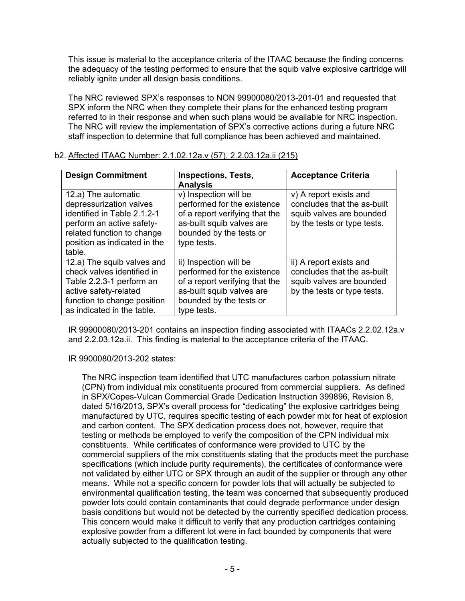This issue is material to the acceptance criteria of the ITAAC because the finding concerns the adequacy of the testing performed to ensure that the squib valve explosive cartridge will reliably ignite under all design basis conditions.

The NRC reviewed SPX's responses to NON 99900080/2013-201-01 and requested that SPX inform the NRC when they complete their plans for the enhanced testing program referred to in their response and when such plans would be available for NRC inspection. The NRC will review the implementation of SPX's corrective actions during a future NRC staff inspection to determine that full compliance has been achieved and maintained.

| <b>Design Commitment</b>                                                                                                                                                           | <b>Inspections, Tests,</b><br><b>Analysis</b>                                                                                                                  | <b>Acceptance Criteria</b>                                                                                        |  |  |
|------------------------------------------------------------------------------------------------------------------------------------------------------------------------------------|----------------------------------------------------------------------------------------------------------------------------------------------------------------|-------------------------------------------------------------------------------------------------------------------|--|--|
| 12.a) The automatic<br>depressurization valves<br>identified in Table 2.1.2-1<br>perform an active safety-<br>related function to change<br>position as indicated in the<br>table. | v) Inspection will be<br>performed for the existence<br>of a report verifying that the<br>as-built squib valves are<br>bounded by the tests or<br>type tests.  | v) A report exists and<br>concludes that the as-built<br>squib valves are bounded<br>by the tests or type tests.  |  |  |
| 12.a) The squib valves and<br>check valves identified in<br>Table 2.2.3-1 perform an<br>active safety-related<br>function to change position<br>as indicated in the table.         | ii) Inspection will be<br>performed for the existence<br>of a report verifying that the<br>as-built squib valves are<br>bounded by the tests or<br>type tests. | ii) A report exists and<br>concludes that the as-built<br>squib valves are bounded<br>by the tests or type tests. |  |  |

### b2. Affected ITAAC Number: 2.1.02.12a.v (57), 2.2.03.12a.ii (215)

IR 99900080/2013-201 contains an inspection finding associated with ITAACs 2.2.02.12a.v and 2.2.03.12a.ii. This finding is material to the acceptance criteria of the ITAAC.

IR 9900080/2013-202 states:

The NRC inspection team identified that UTC manufactures carbon potassium nitrate (CPN) from individual mix constituents procured from commercial suppliers. As defined in SPX/Copes-Vulcan Commercial Grade Dedication Instruction 399896, Revision 8, dated 5/16/2013, SPX's overall process for "dedicating" the explosive cartridges being manufactured by UTC, requires specific testing of each powder mix for heat of explosion and carbon content. The SPX dedication process does not, however, require that testing or methods be employed to verify the composition of the CPN individual mix constituents. While certificates of conformance were provided to UTC by the commercial suppliers of the mix constituents stating that the products meet the purchase specifications (which include purity requirements), the certificates of conformance were not validated by either UTC or SPX through an audit of the supplier or through any other means. While not a specific concern for powder lots that will actually be subjected to environmental qualification testing, the team was concerned that subsequently produced powder lots could contain contaminants that could degrade performance under design basis conditions but would not be detected by the currently specified dedication process. This concern would make it difficult to verify that any production cartridges containing explosive powder from a different lot were in fact bounded by components that were actually subjected to the qualification testing.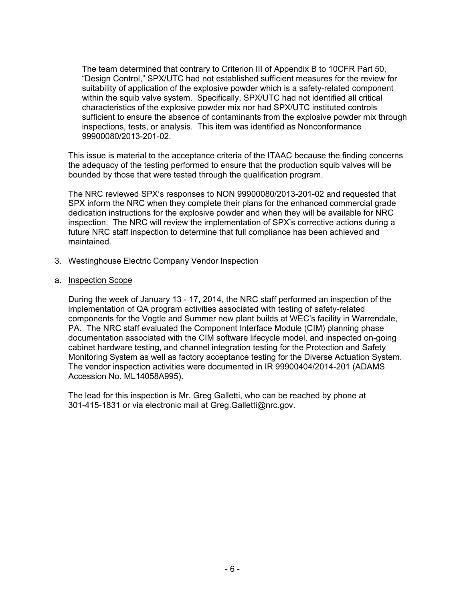The team determined that contrary to Criterion III of Appendix B to 10CFR Part 50, "Design Control," SPX/UTC had not established sufficient measures for the review for suitability of application of the explosive powder which is a safety-related component within the squib valve system. Specifically, SPX/UTC had not identified all critical characteristics of the explosive powder mix nor had SPX/UTC instituted controls sufficient to ensure the absence of contaminants from the explosive powder mix through inspections, tests, or analysis. This item was identified as Nonconformance 99900080/2013-201-02.

This issue is material to the acceptance criteria of the ITAAC because the finding concerns the adequacy of the testing performed to ensure that the production squib valves will be bounded by those that were tested through the qualification program.

The NRC reviewed SPX's responses to NON 99900080/2013-201-02 and requested that SPX inform the NRC when they complete their plans for the enhanced commercial grade dedication instructions for the explosive powder and when they will be available for NRC inspection. The NRC will review the implementation of SPX's corrective actions during a future NRC staff inspection to determine that full compliance has been achieved and maintained.

- 3. Westinghouse Electric Company Vendor Inspection
- a. Inspection Scope

During the week of January 13 - 17, 2014, the NRC staff performed an inspection of the implementation of QA program activities associated with testing of safety-related components for the Vogtle and Summer new plant builds at WEC's facility in Warrendale, PA. The NRC staff evaluated the Component Interface Module (CIM) planning phase documentation associated with the CIM software lifecycle model, and inspected on-going cabinet hardware testing, and channel integration testing for the Protection and Safety Monitoring System as well as factory acceptance testing for the Diverse Actuation System. The vendor inspection activities were documented in IR 99900404/2014-201 (ADAMS Accession No. ML14058A995).

The lead for this inspection is Mr. Greg Galletti, who can be reached by phone at 301-415-1831 or via electronic mail at Greg.Galletti@nrc.gov.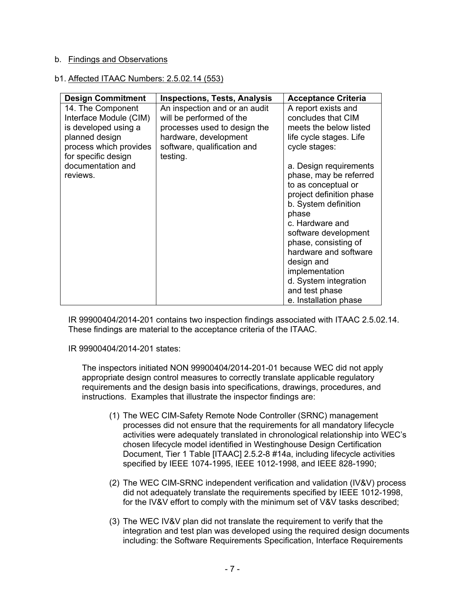# b. Findings and Observations

### b1. Affected ITAAC Numbers: 2.5.02.14 (553)

| <b>Design Commitment</b>                                                                                                               | <b>Inspections, Tests, Analysis</b>                                                                                                                           | <b>Acceptance Criteria</b>                                                                                                                                                                                                                                                                                                           |
|----------------------------------------------------------------------------------------------------------------------------------------|---------------------------------------------------------------------------------------------------------------------------------------------------------------|--------------------------------------------------------------------------------------------------------------------------------------------------------------------------------------------------------------------------------------------------------------------------------------------------------------------------------------|
| 14. The Component<br>Interface Module (CIM)<br>is developed using a<br>planned design<br>process which provides<br>for specific design | An inspection and or an audit<br>will be performed of the<br>processes used to design the<br>hardware, development<br>software, qualification and<br>testing. | A report exists and<br>concludes that CIM<br>meets the below listed<br>life cycle stages. Life<br>cycle stages:                                                                                                                                                                                                                      |
| documentation and<br>reviews.                                                                                                          |                                                                                                                                                               | a. Design requirements<br>phase, may be referred<br>to as conceptual or<br>project definition phase<br>b. System definition<br>phase<br>c. Hardware and<br>software development<br>phase, consisting of<br>hardware and software<br>design and<br>implementation<br>d. System integration<br>and test phase<br>e. Installation phase |

IR 99900404/2014-201 contains two inspection findings associated with ITAAC 2.5.02.14. These findings are material to the acceptance criteria of the ITAAC.

IR 99900404/2014-201 states:

The inspectors initiated NON 99900404/2014-201-01 because WEC did not apply appropriate design control measures to correctly translate applicable regulatory requirements and the design basis into specifications, drawings, procedures, and instructions. Examples that illustrate the inspector findings are:

- (1) The WEC CIM-Safety Remote Node Controller (SRNC) management processes did not ensure that the requirements for all mandatory lifecycle activities were adequately translated in chronological relationship into WEC's chosen lifecycle model identified in Westinghouse Design Certification Document, Tier 1 Table [ITAAC] 2.5.2-8 #14a, including lifecycle activities specified by IEEE 1074-1995, IEEE 1012-1998, and IEEE 828-1990;
- (2) The WEC CIM-SRNC independent verification and validation (IV&V) process did not adequately translate the requirements specified by IEEE 1012-1998, for the IV&V effort to comply with the minimum set of V&V tasks described;
- (3) The WEC IV&V plan did not translate the requirement to verify that the integration and test plan was developed using the required design documents including: the Software Requirements Specification, Interface Requirements